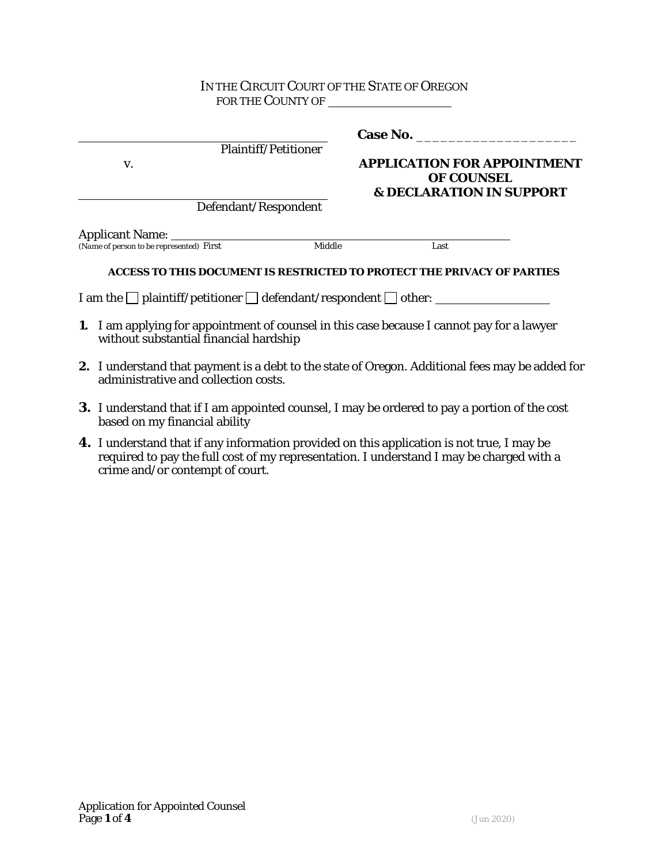### IN THE CIRCUIT COURT OF THE STATE OF OREGON FOR THE COUNTY OF

| Plaintiff/Petitioner                     |        | <b>Case No.</b>                                                                                |
|------------------------------------------|--------|------------------------------------------------------------------------------------------------|
| V.                                       |        | <b>APPLICATION FOR APPOINTMENT</b><br><b>OF COUNSEL</b><br><b>&amp; DECLARATION IN SUPPORT</b> |
| Defendant/Respondent                     |        |                                                                                                |
| <b>Applicant Name:</b>                   |        |                                                                                                |
| (Name of person to be represented) First | Middle | Last                                                                                           |
|                                          |        | ACCESS TO THIS DOCUMENT IS RESTRICTED TO PROTECT THE PRIVACY OF PARTIES                        |

I am the  $\Box$  plaintiff/petitioner  $\Box$  defendant/respondent  $\Box$  other:

- **1.** I am applying for appointment of counsel in this case because I cannot pay for a lawyer without substantial financial hardship
- **2.** I understand that payment is a debt to the state of Oregon. Additional fees may be added for administrative and collection costs.
- **3.** I understand that if I am appointed counsel, I may be ordered to pay a portion of the cost based on my financial ability
- **4.** I understand that if any information provided on this application is not true, I may be required to pay the full cost of my representation. I understand I may be charged with a crime and/or contempt of court.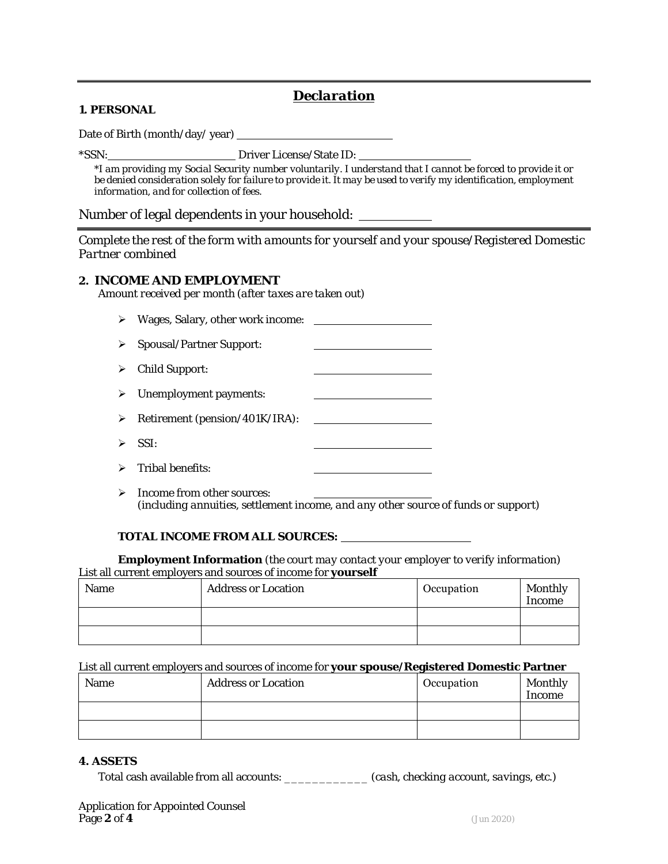# *Declaration*

#### **1. PERSONAL**

Date of Birth (month/day/ year)

\*SSN: Driver License/State ID:

*\*I am providing my Social Security number voluntarily. I understand that I cannot be forced to provide it or be denied consideration solely for failure to provide it. It may be used to verify my identification, employment information, and for collection of fees.*

#### Number of legal dependents in your household:

*Complete the rest of the form with amounts for yourself and your spouse/Registered Domestic Partner combined*

#### **2. INCOME AND EMPLOYMENT**

*Amount received per month (after taxes are taken out)*

| $\triangleright$ | Wages, Salary, other work income:           |  |
|------------------|---------------------------------------------|--|
| ≻                | <b>Spousal/Partner Support:</b>             |  |
|                  | $\triangleright$ Child Support:             |  |
|                  | $\triangleright$ Unemployment payments:     |  |
| ≻                | Retirement (pension/401K/IRA):              |  |
|                  | $\triangleright$ SSI:                       |  |
|                  | $\triangleright$ Tribal benefits:           |  |
|                  | $\triangleright$ Income from other sources: |  |

*(including annuities, settlement income, and any other source of funds or support)*

#### **TOTAL INCOME FROM ALL SOURCES:**

**Employment Information** *(the court may contact your employer to verify information)*  List all current employers and sources of income for **yourself**

| Name | <b>Address or Location</b> | Occupation | Monthly<br>Income |
|------|----------------------------|------------|-------------------|
|      |                            |            |                   |
|      |                            |            |                   |

#### List all current employers and sources of income for **your spouse/Registered Domestic Partner**

| Name | <b>Address or Location</b> | Occupation | Monthly<br>Income |
|------|----------------------------|------------|-------------------|
|      |                            |            |                   |
|      |                            |            |                   |

#### **4. ASSETS**

Total cash available from all accounts: \_\_\_\_\_\_\_\_\_\_\_\_ *(cash, checking account, savings, etc.)*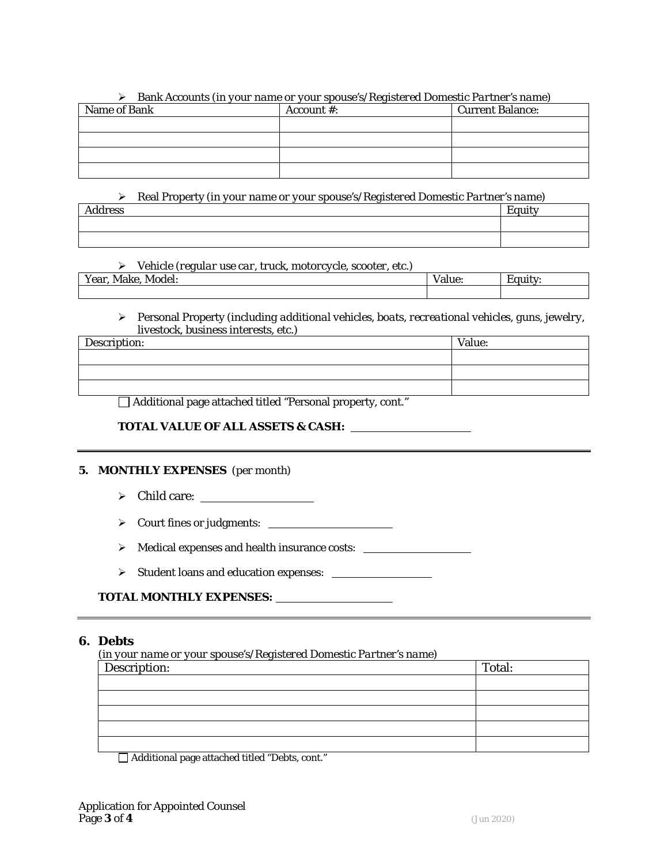|              | Bank Accounts (in your name or your spouse's/Registered Domestic Partner's name) |                         |
|--------------|----------------------------------------------------------------------------------|-------------------------|
| Name of Bank | Account $\#$ :                                                                   | <b>Current Balance:</b> |
|              |                                                                                  |                         |
|              |                                                                                  |                         |
|              |                                                                                  |                         |
|              |                                                                                  |                         |

Bank Accounts *(in your name or your spouse's/Registered Domestic Partner's name)* 

 Real Property *(in your name or your spouse's/Registered Domestic Partner's name)*  $\vert$  Equity

Vehicle *(regular use car, truck, motorcycle, scooter, etc.)* 

| $ -$<br>Year,<br>Make<br>Model:<br>wian |  |  | aiuc. | .ultv |
|-----------------------------------------|--|--|-------|-------|
|                                         |  |  |       |       |

 Personal Property *(including additional vehicles, boats, recreational vehicles, guns, jewelry, livestock, business interests, etc.)*

| Description: | Value: |
|--------------|--------|
|              |        |
|              |        |
|              |        |

Additional page attached titled "Personal property, cont."

#### **TOTAL VALUE OF ALL ASSETS & CASH:**

#### **5. MONTHLY EXPENSES** *(per month)*

- $\triangleright$  Child care:  $\_\_\_\_\_\_\_\_\_\_\_\_\_\_\_\_\_\_\_\_\_\_\_\_\_\_\_$
- Court fines or judgments:
- > Medical expenses and health insurance costs: \_\_\_\_\_\_\_
- Student loans and education expenses:

#### **TOTAL MONTHLY EXPENSES:**

#### **6. Debts**

*(in your name or your spouse's/Registered Domestic Partner's name)*

| $\sqrt{\text{Description}}$ : | Total: |
|-------------------------------|--------|
|                               |        |
|                               |        |
|                               |        |
|                               |        |
|                               |        |

Additional page attached titled "Debts, cont."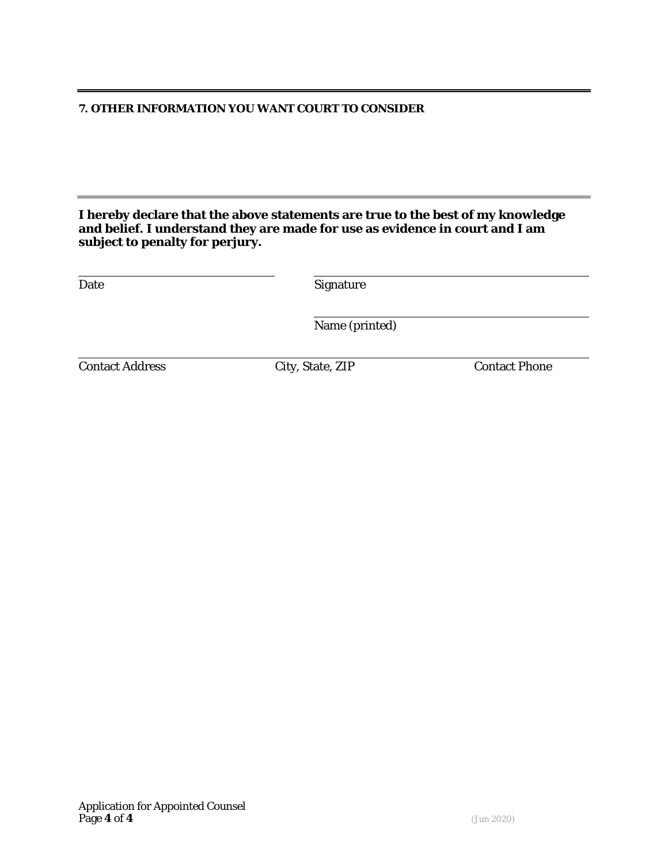#### **7. OTHER INFORMATION YOU WANT COURT TO CONSIDER**

**I hereby declare that the above statements are true to the best of my knowledge and belief. I understand they are made for use as evidence in court and I am subject to penalty for perjury.**

| Date                   | <b>Signature</b> |                      |
|------------------------|------------------|----------------------|
|                        | Name (printed)   |                      |
| <b>Contact Address</b> | City, State, ZIP | <b>Contact Phone</b> |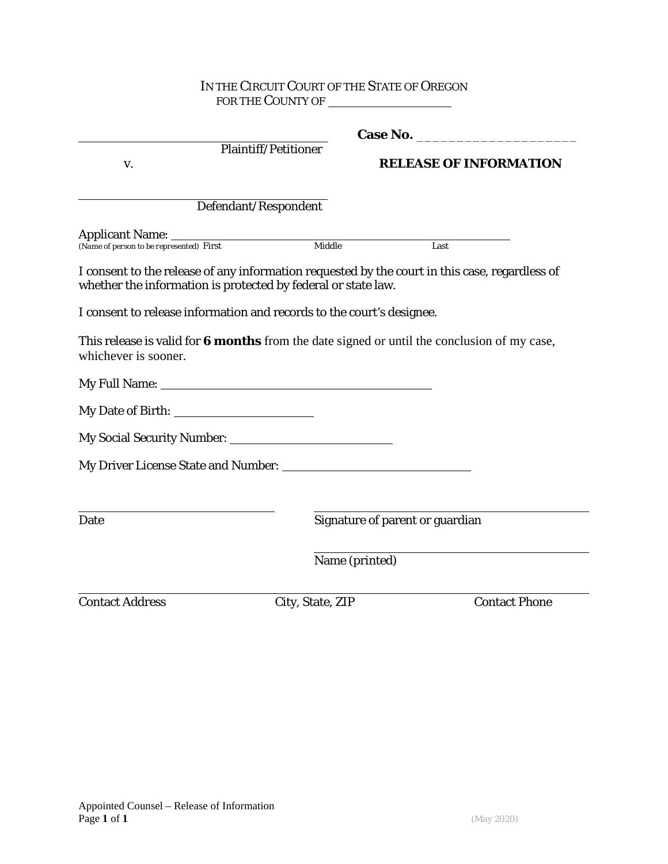#### IN THE CIRCUIT COURT OF THE STATE OF OREGON FOR THE COUNTY OF  $\overline{\phantom{a}}$

| V.                                                                        | <b>Plaintiff/Petitioner</b>                                           | <b>RELEASE OF INFORMATION</b>                                                                  |
|---------------------------------------------------------------------------|-----------------------------------------------------------------------|------------------------------------------------------------------------------------------------|
|                                                                           | Defendant/Respondent                                                  |                                                                                                |
| <b>Applicant Name:</b><br>(Name of person to be represented) First Middle |                                                                       |                                                                                                |
|                                                                           |                                                                       | Last                                                                                           |
|                                                                           | whether the information is protected by federal or state law.         | I consent to the release of any information requested by the court in this case, regardless of |
|                                                                           | I consent to release information and records to the court's designee. |                                                                                                |
| whichever is sooner.                                                      |                                                                       | This release is valid for 6 months from the date signed or until the conclusion of my case,    |
|                                                                           |                                                                       |                                                                                                |
|                                                                           |                                                                       |                                                                                                |
|                                                                           |                                                                       |                                                                                                |
|                                                                           |                                                                       |                                                                                                |
|                                                                           |                                                                       |                                                                                                |
|                                                                           |                                                                       | Signature of parent or guardian                                                                |
| Date                                                                      | Name (printed)                                                        |                                                                                                |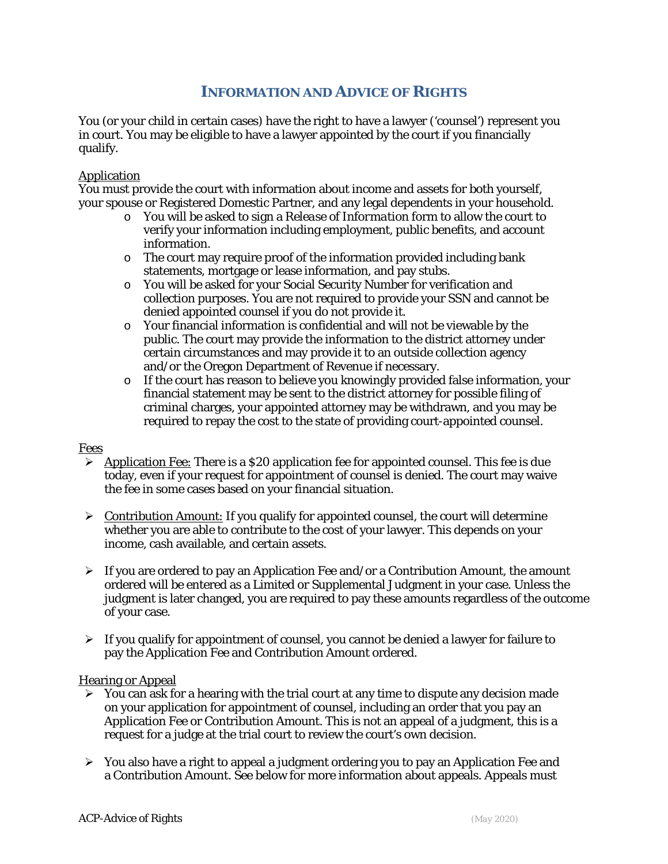# **INFORMATION AND ADVICE OF RIGHTS**

You (or your child in certain cases) have the right to have a lawyer ('counsel') represent you in court. You may be eligible to have a lawyer appointed by the court if you financially qualify.

#### **Application**

You must provide the court with information about income and assets for both yourself, your spouse or Registered Domestic Partner, and any legal dependents in your household.

- o You will be asked to sign a *Release of Information* form to allow the court to verify your information including employment, public benefits, and account information.
- o The court may require proof of the information provided including bank statements, mortgage or lease information, and pay stubs.
- o You will be asked for your Social Security Number for verification and collection purposes. You are not required to provide your SSN and cannot be denied appointed counsel if you do not provide it.
- o Your financial information is confidential and will not be viewable by the public. The court may provide the information to the district attorney under certain circumstances and may provide it to an outside collection agency and/or the Oregon Department of Revenue if necessary.
- o If the court has reason to believe you knowingly provided false information, your financial statement may be sent to the district attorney for possible filing of criminal charges, your appointed attorney may be withdrawn, and you may be required to repay the cost to the state of providing court-appointed counsel.

#### Fees

- $\triangleright$  Application Fee: There is a \$20 application fee for appointed counsel. This fee is due today, even if your request for appointment of counsel is denied. The court may waive the fee in some cases based on your financial situation.
- $\triangleright$  Contribution Amount: If you qualify for appointed counsel, the court will determine whether you are able to contribute to the cost of your lawyer. This depends on your income, cash available, and certain assets.
- $\triangleright$  If you are ordered to pay an Application Fee and/or a Contribution Amount, the amount ordered will be entered as a Limited or Supplemental Judgment in your case. Unless the judgment is later changed, you are required to pay these amounts regardless of the outcome of your case.
- $\triangleright$  If you qualify for appointment of counsel, you cannot be denied a lawyer for failure to pay the Application Fee and Contribution Amount ordered.

#### Hearing or Appeal

- $\triangleright$  You can ask for a hearing with the trial court at any time to dispute any decision made on your application for appointment of counsel, including an order that you pay an Application Fee or Contribution Amount. This is not an appeal of a judgment, this is a request for a judge at the trial court to review the court's own decision.
- $\triangleright$  You also have a right to appeal a judgment ordering you to pay an Application Fee and a Contribution Amount. See below for more information about appeals. Appeals must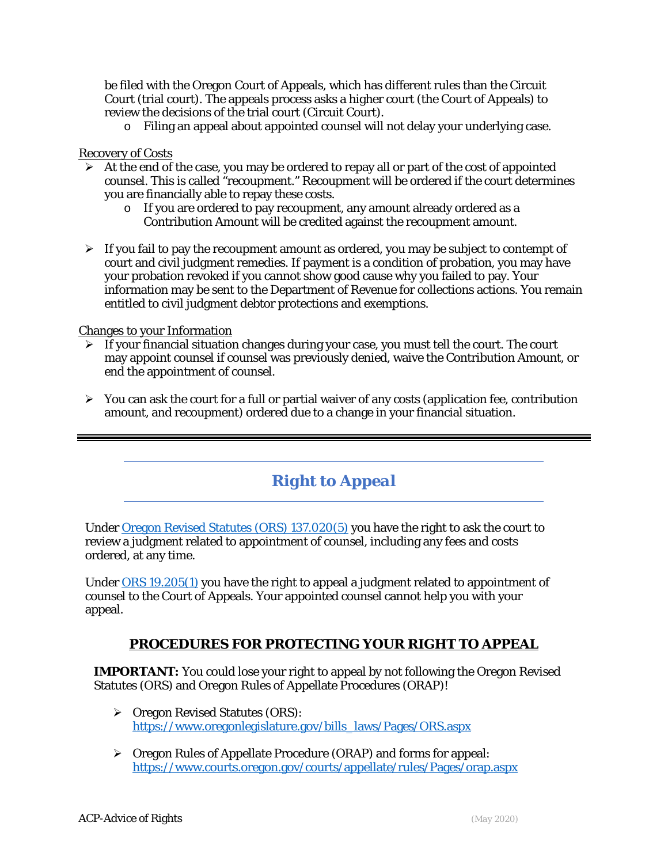be filed with the Oregon Court of Appeals, which has different rules than the Circuit Court (trial court). The appeals process asks a higher court (the Court of Appeals) to review the decisions of the trial court (Circuit Court).

o Filing an appeal about appointed counsel will not delay your underlying case.

#### Recovery of Costs

- $\triangleright$  At the end of the case, you may be ordered to repay all or part of the cost of appointed counsel. This is called "recoupment." Recoupment will be ordered if the court determines you are financially able to repay these costs.
	- o If you are ordered to pay recoupment, any amount already ordered as a Contribution Amount will be credited against the recoupment amount.
- $\triangleright$  If you fail to pay the recoupment amount as ordered, you may be subject to contempt of court and civil judgment remedies. If payment is a condition of probation, you may have your probation revoked if you cannot show good cause why you failed to pay. Your information may be sent to the Department of Revenue for collections actions. You remain entitled to civil judgment debtor protections and exemptions.

#### Changes to your Information

- $\triangleright$  If your financial situation changes during your case, you must tell the court. The court may appoint counsel if counsel was previously denied, waive the Contribution Amount, or end the appointment of counsel.
- $\triangleright$  You can ask the court for a full or partial waiver of any costs (application fee, contribution amount, and recoupment) ordered due to a change in your financial situation.

# *Right to Appeal*

Under [Oregon Revised Statutes \(ORS\) 137.020\(5\)](https://www.oregonlegislature.gov/bills_laws/ors/ors137.html) you have the right to ask the court to review a judgment related to appointment of counsel, including any fees and costs ordered, at any time.

Under [ORS 19.205\(1\)](https://www.oregonlegislature.gov/bills_laws/ors/ors019.html) you have the right to appeal a judgment related to appointment of counsel to the Court of Appeals. Your appointed counsel cannot help you with your appeal.

## **PROCEDURES FOR PROTECTING YOUR RIGHT TO APPEAL**

**IMPORTANT:** You could lose your right to appeal by not following the Oregon Revised Statutes (ORS) and Oregon Rules of Appellate Procedures (ORAP)!

- $\triangleright$  Oregon Revised Statutes (ORS): [https://www.oregonlegislature.gov/bills\\_laws/Pages/ORS.aspx](https://www.oregonlegislature.gov/bills_laws/Pages/ORS.aspx)
- Oregon Rules of Appellate Procedure (ORAP) and forms for appeal: <https://www.courts.oregon.gov/courts/appellate/rules/Pages/orap.aspx>